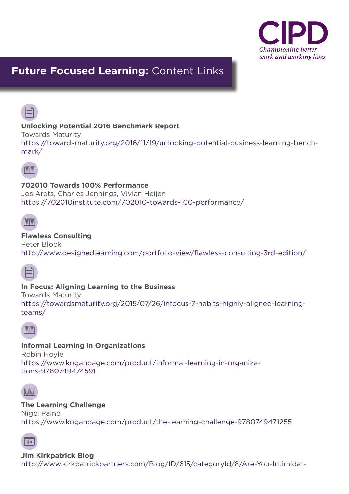

# **Future Focused Learning:** Content Links



# **Unlocking Potential 2016 Benchmark Report**

Towards Maturity

https://towardsmaturity.org/2016/11/19/unlocking-potential-business-learning-benchmark/



#### **702010 Towards 100% Performance**

Jos Arets, Charles Jennings, Vivian Heijen https://702010institute.com/702010-towards-100-performance/



# **Flawless Consulting**

Peter Block http://www.designedlearning.com/portfolio-view/flawless-consulting-3rd-edition/



# **In Focus: Aligning Learning to the Business**

Towards Maturity https://towardsmaturity.org/2015/07/26/infocus-7-habits-highly-aligned-learningteams/



#### **Informal Learning in Organizations**

Robin Hoyle https://www.koganpage.com/product/informal-learning-in-organizations-9780749474591



#### **The Learning Challenge**

Nigel Paine https://www.koganpage.com/product/the-learning-challenge-9780749471255



**Jim Kirkpatrick Blog** http://www.kirkpatrickpartners.com/Blog/ID/615/categoryId/8/Are-You-Intimidat-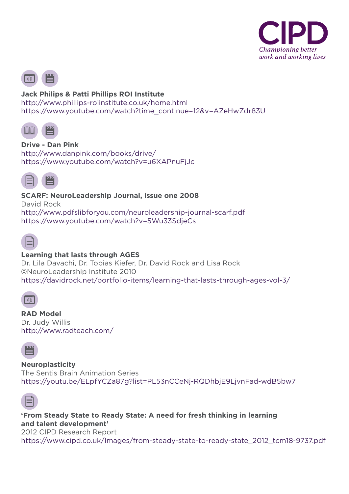



#### **Jack Philips & Patti Phillips ROI Institute**

http://www.phillips-roiinstitute.co.uk/home.html https://www.youtube.com/watch?time\_continue=12&v=AZeHwZdr83U



**Drive - Dan Pink** http://www.danpink.com/books/drive/ https://www.youtube.com/watch?v=u6XAPnuFjJc



**SCARF: NeuroLeadership Journal, issue one 2008** David Rock http://www.pdfslibforyou.com/neuroleadership-journal-scarf.pdf https://www.youtube.com/watch?v=5Wu33SdjeCs



# **Learning that lasts through AGES**

Dr. Lila Davachi, Dr. Tobias Kiefer, Dr. David Rock and Lisa Rock ©NeuroLeadership Institute 2010 https://davidrock.net/portfolio-items/learning-that-lasts-through-ages-vol-3/



**RAD Model**  Dr. Judy Willis http://www.radteach.com/



**Neuroplasticity** The Sentis Brain Animation Series https://youtu.be/ELpfYCZa87g?list=PL53nCCeNj-RQDhbjE9LjvnFad-wdB5bw7



**'From Steady State to Ready State: A need for fresh thinking in learning and talent development'**

2012 CIPD Research Report

https://www.cipd.co.uk/Images/from-steady-state-to-ready-state\_2012\_tcm18-9737.pdf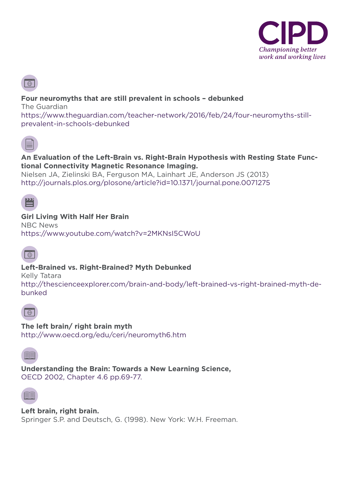



### **Four neuromyths that are still prevalent in schools – debunked**

The Guardian https://www.theguardian.com/teacher-network/2016/feb/24/four-neuromyths-stillprevalent-in-schools-debunked



#### **An Evaluation of the Left-Brain vs. Right-Brain Hypothesis with Resting State Functional Connectivity Magnetic Resonance Imaging.**

Nielsen JA, Zielinski BA, Ferguson MA, Lainhart JE, Anderson JS (2013) http://journals.plos.org/plosone/article?id=10.1371/journal.pone.0071275



# **Girl Living With Half Her Brain**

NBC News https://www.youtube.com/watch?v=2MKNsI5CWoU



# **Left-Brained vs. Right-Brained? Myth Debunked**

Kelly Tatara

http://thescienceexplorer.com/brain-and-body/left-brained-vs-right-brained-myth-debunked



**The left brain/ right brain myth**

http://www.oecd.org/edu/ceri/neuromyth6.htm



**Understanding the Brain: Towards a New Learning Science,**  OECD 2002, Chapter 4.6 pp.69-77.



**Left brain, right brain.**  Springer S.P. and Deutsch, G. (1998). New York: W.H. Freeman.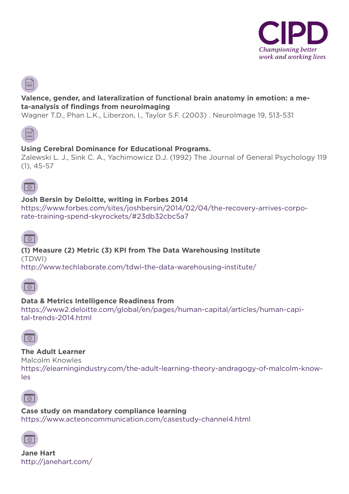

### **Valence, gender, and lateralization of functional brain anatomy in emotion: a meta-analysis of findings from neuroimaging**

Wagner T.D., Phan L.K., Liberzon, I., Taylor S.F. (2003) . NeuroImage 19, 513-531



## **Using Cerebral Dominance for Educational Programs.**

Zalewski L. J., Sink C. A., Yachimowicz D.J. (1992) The Journal of General Psychology 119 (1), 45-57



# **Josh Bersin by Deloitte, writing in Forbes 2014**

https://www.forbes.com/sites/joshbersin/2014/02/04/the-recovery-arrives-corporate-training-spend-skyrockets/#23db32cbc5a7



#### **(1) Measure (2) Metric (3) KPI from The Data Warehousing Institute** (TDWI)

http://www.techlaborate.com/tdwi-the-data-warehousing-institute/



#### **Data & Metrics Intelligence Readiness from**

https://www2.deloitte.com/global/en/pages/human-capital/articles/human-capital-trends-2014.html



#### **The Adult Learner**

Malcolm Knowles

https://elearningindustry.com/the-adult-learning-theory-andragogy-of-malcolm-knowles



**Case study on mandatory compliance learning** https://www.acteoncommunication.com/casestudy-channel4.html



**Jane Hart**  http://janehart.com/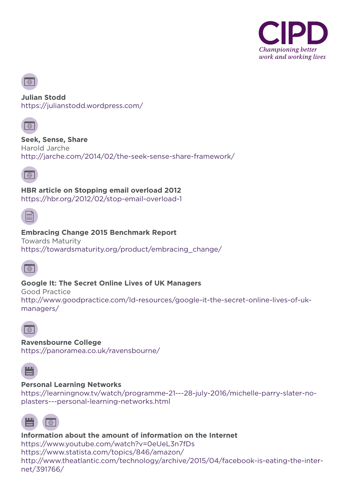



**Julian Stodd**  https://julianstodd.wordpress.com/



**Seek, Sense, Share** Harold Jarche http://jarche.com/2014/02/the-seek-sense-share-framework/



**HBR article on Stopping email overload 2012**  https://hbr.org/2012/02/stop-email-overload-1



#### **Embracing Change 2015 Benchmark Report**

Towards Maturity https://towardsmaturity.org/product/embracing\_change/



# **Google It: The Secret Online Lives of UK Managers**

Good Practice http://www.goodpractice.com/ld-resources/google-it-the-secret-online-lives-of-ukmanagers/



**Ravensbourne College** https://panoramea.co.uk/ravensbourne/



#### **Personal Learning Networks**

https://learningnow.tv/watch/programme-21---28-july-2016/michelle-parry-slater-noplasters---personal-learning-networks.html



#### **Information about the amount of information on the Internet** https://www.youtube.com/watch?v=0eUeL3n7fDs https://www.statista.com/topics/846/amazon/ http://www.theatlantic.com/technology/archive/2015/04/facebook-is-eating-the-internet/391766/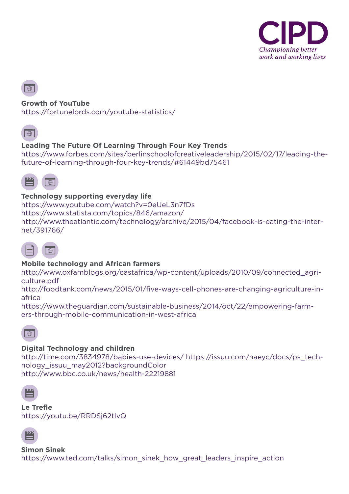



### **Growth of YouTube**

https://fortunelords.com/youtube-statistics/



# **Leading The Future Of Learning Through Four Key Trends**

https://www.forbes.com/sites/berlinschoolofcreativeleadership/2015/02/17/leading-thefuture-of-learning-through-four-key-trends/#61449bd75461



#### **Technology supporting everyday life**

https://www.youtube.com/watch?v=0eUeL3n7fDs https://www.statista.com/topics/846/amazon/ http://www.theatlantic.com/technology/archive/2015/04/facebook-is-eating-the-internet/391766/



# **Mobile technology and African farmers**

http://www.oxfamblogs.org/eastafrica/wp-content/uploads/2010/09/connected\_agriculture.pdf

http://foodtank.com/news/2015/01/five-ways-cell-phones-are-changing-agriculture-inafrica

https://www.theguardian.com/sustainable-business/2014/oct/22/empowering-farmers-through-mobile-communication-in-west-africa



# **Digital Technology and children**

http://time.com/3834978/babies-use-devices/ https://issuu.com/naeyc/docs/ps\_technology\_issuu\_may2012?backgroundColor http://www.bbc.co.uk/news/health-22219881



**Le Trefle** https://youtu.be/RRDSj62tlvQ

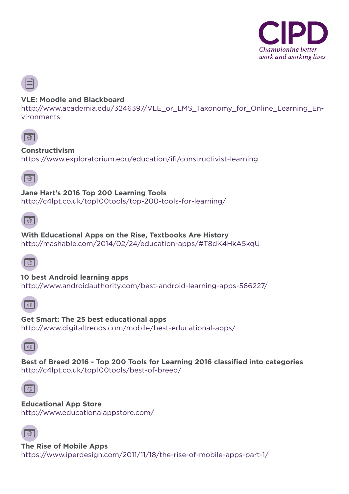

#### **VLE: Moodle and Blackboard**

http://www.academia.edu/3246397/VLE or LMS Taxonomy for Online Learning Environments



#### **Constructivism**

https://www.exploratorium.edu/education/ifi/constructivist-learning



#### **Jane Hart's 2016 Top 200 Learning Tools**

http://c4lpt.co.uk/top100tools/top-200-tools-for-learning/

**With Educational Apps on the Rise, Textbooks Are History**

http://mashable.com/2014/02/24/education-apps/#T8dK4HkA5kqU



**10 best Android learning apps** http://www.androidauthority.com/best-android-learning-apps-566227/



**Get Smart: The 25 best educational apps** http://www.digitaltrends.com/mobile/best-educational-apps/



**Best of Breed 2016 - Top 200 Tools for Learning 2016 classified into categories** http://c4lpt.co.uk/top100tools/best-of-breed/



**Educational App Store** http://www.educationalappstore.com/



**The Rise of Mobile Apps** https://www.iperdesign.com/2011/11/18/the-rise-of-mobile-apps-part-1/